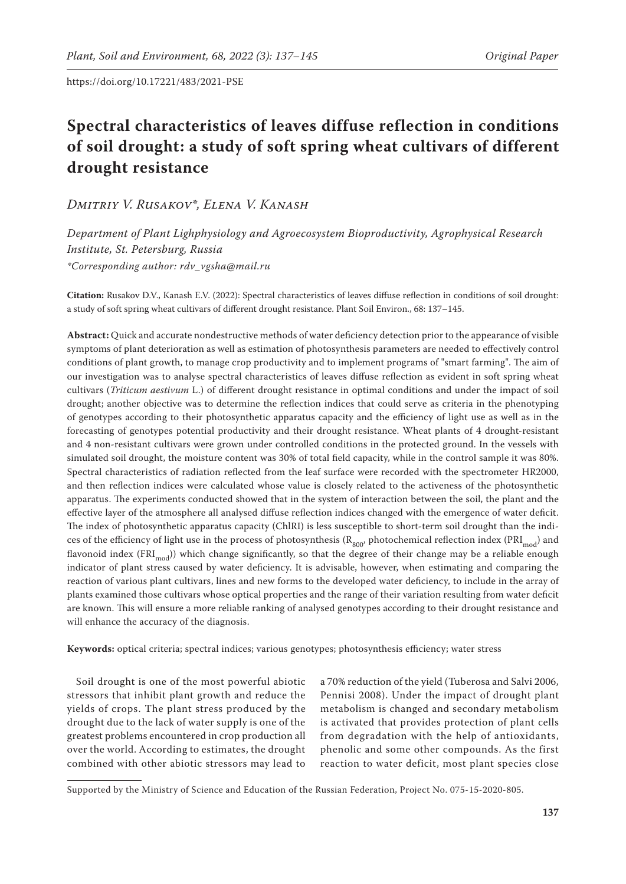# **Spectral characteristics of leaves diffuse reflection in conditions of soil drought: a study of soft spring wheat cultivars of different drought resistance**

*Dmitriy V. Rusakov\*, Elena V. Kanash*

*Department of Plant Lighphysiology and Agroecosystem Bioproductivity, Agrophysical Research Institute, St. Petersburg, Russia \*Corresponding author: rdv\_vgsha@mail.ru*

**Citation:** Rusakov D.V., Kanash E.V. (2022): Spectral characteristics of leaves diffuse reflection in conditions of soil drought: a study of soft spring wheat cultivars of different drought resistance. Plant Soil Environ., 68: 137–145.

**Abstract:** Quick and accurate nondestructive methods of water deficiency detection prior to the appearance of visible symptoms of plant deterioration as well as estimation of photosynthesis parameters are needed to effectively control conditions of plant growth, to manage crop productivity and to implement programs of "smart farming". The aim of our investigation was to analyse spectral characteristics of leaves diffuse reflection as evident in soft spring wheat cultivars (*Triticum aestivum* L.) of different drought resistance in optimal conditions and under the impact of soil drought; another objective was to determine the reflection indices that could serve as criteria in the phenotyping of genotypes according to their photosynthetic apparatus capacity and the efficiency of light use as well as in the forecasting of genotypes potential productivity and their drought resistance. Wheat plants of 4 drought-resistant and 4 non-resistant cultivars were grown under controlled conditions in the protected ground. In the vessels with simulated soil drought, the moisture content was 30% of total field capacity, while in the control sample it was 80%. Spectral characteristics of radiation reflected from the leaf surface were recorded with the spectrometer HR2000, and then reflection indices were calculated whose value is closely related to the activeness of the photosynthetic apparatus. The experiments conducted showed that in the system of interaction between the soil, the plant and the effective layer of the atmosphere all analysed diffuse reflection indices changed with the emergence of water deficit. The index of photosynthetic apparatus capacity (ChlRI) is less susceptible to short-term soil drought than the indices of the efficiency of light use in the process of photosynthesis ( $R_{800}$ , photochemical reflection index (PRI<sub>mod</sub>) and flavonoid index (FRI<sub>mod</sub>)) which change significantly, so that the degree of their change may be a reliable enough indicator of plant stress caused by water deficiency. It is advisable, however, when estimating and comparing the reaction of various plant cultivars, lines and new forms to the developed water deficiency, to include in the array of plants examined those cultivars whose optical properties and the range of their variation resulting from water deficit are known. This will ensure a more reliable ranking of analysed genotypes according to their drought resistance and will enhance the accuracy of the diagnosis.

**Keywords:** optical criteria; spectral indices; various genotypes; photosynthesis efficiency; water stress

Soil drought is one of the most powerful abiotic stressors that inhibit plant growth and reduce the yields of crops. The plant stress produced by the drought due to the lack of water supply is one of the greatest problems encountered in crop production all over the world. According to estimates, the drought combined with other abiotic stressors may lead to

a 70% reduction of the yield (Tuberosa and Salvi 2006, Pennisi 2008). Under the impact of drought plant metabolism is changed and secondary metabolism is activated that provides protection of plant cells from degradation with the help of antioxidants, phenolic and some other compounds. As the first reaction to water deficit, most plant species close

Supported by the Ministry of Science and Education of the Russian Federation, Project No. 075-15-2020-805.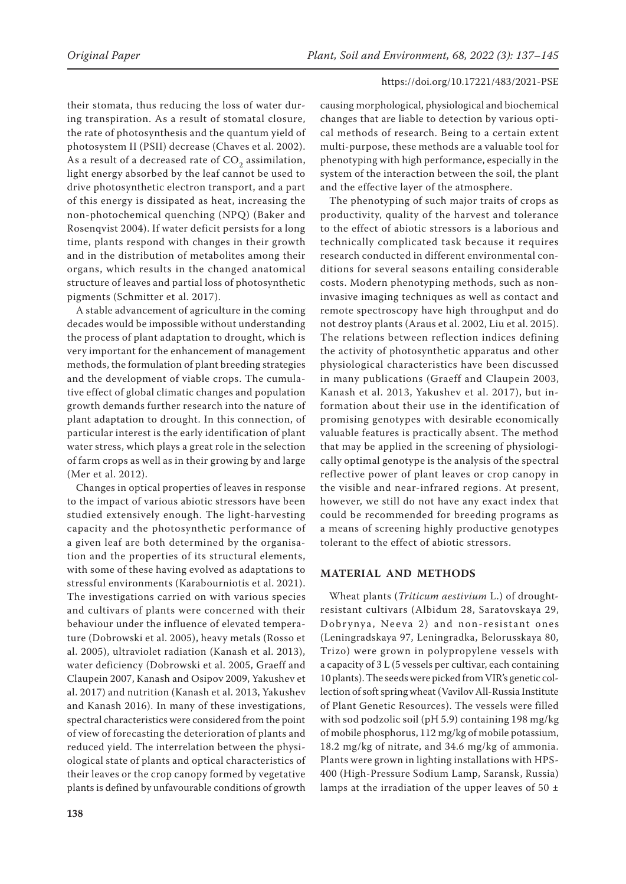their stomata, thus reducing the loss of water during transpiration. As a result of stomatal closure, the rate of photosynthesis and the quantum yield of photosystem II (PSII) decrease (Chaves et al. 2002). As a result of a decreased rate of  $CO<sub>2</sub>$  assimilation, light energy absorbed by the leaf cannot be used to drive photosynthetic electron transport, and a part of this energy is dissipated as heat, increasing the non-photochemical quenching (NPQ) (Baker and Rosenqvist 2004). If water deficit persists for a long time, plants respond with changes in their growth and in the distribution of metabolites among their organs, which results in the changed anatomical structure of leaves and partial loss of photosynthetic pigments (Schmitter et al. 2017).

A stable advancement of agriculture in the coming decades would be impossible without understanding the process of plant adaptation to drought, which is very important for the enhancement of management methods, the formulation of plant breeding strategies and the development of viable crops. The cumulative effect of global climatic changes and population growth demands further research into the nature of plant adaptation to drought. In this connection, of particular interest is the early identification of plant water stress, which plays a great role in the selection of farm crops as well as in their growing by and large (Mer et al. 2012).

Changes in optical properties of leaves in response to the impact of various abiotic stressors have been studied extensively enough. The light-harvesting capacity and the photosynthetic performance of a given leaf are both determined by the organisation and the properties of its structural elements, with some of these having evolved as adaptations to stressful environments (Karabourniotis et al. 2021). The investigations carried on with various species and cultivars of plants were concerned with their behaviour under the influence of elevated temperature (Dobrowski et al. 2005), heavy metals (Rosso et al. 2005), ultraviolet radiation (Kanash et al. 2013), water deficiency (Dobrowski et al. 2005, Graeff and Claupein 2007, Kanash and Osipov 2009, Yakushev et al. 2017) and nutrition (Kanash et al. 2013, Yakushev and Kanash 2016). In many of these investigations, spectral characteristics were considered from the point of view of forecasting the deterioration of plants and reduced yield. The interrelation between the physiological state of plants and optical characteristics of their leaves or the crop canopy formed by vegetative plants is defined by unfavourable conditions of growth

causing morphological, physiological and biochemical changes that are liable to detection by various optical methods of research. Being to a certain extent multi-purpose, these methods are a valuable tool for phenotyping with high performance, especially in the system of the interaction between the soil, the plant and the effective layer of the atmosphere.

The phenotyping of such major traits of crops as productivity, quality of the harvest and tolerance to the effect of abiotic stressors is a laborious and technically complicated task because it requires research conducted in different environmental conditions for several seasons entailing considerable costs. Modern phenotyping methods, such as noninvasive imaging techniques as well as contact and remote spectroscopy have high throughput and do not destroy plants (Araus et al. 2002, Liu et al. 2015). The relations between reflection indices defining the activity of photosynthetic apparatus and other physiological characteristics have been discussed in many publications (Graeff and Claupein 2003, Kanash et al. 2013, Yakushev et al. 2017), but information about their use in the identification of promising genotypes with desirable economically valuable features is practically absent. The method that may be applied in the screening of physiologically optimal genotype is the analysis of the spectral reflective power of plant leaves or crop canopy in the visible and near-infrared regions. At present, however, we still do not have any exact index that could be recommended for breeding programs as a means of screening highly productive genotypes tolerant to the effect of abiotic stressors.

# **MATERIAL AND METHODS**

Wheat plants (*Triticum aestivium* L.) of droughtresistant cultivars (Albidum 28, Saratovskaya 29, Dobrynya, Neeva 2) and non-resistant ones (Leningradskaya 97, Leningradka, Belorusskaya 80, Trizo) were grown in polypropylene vessels with a capacity of 3 L (5 vessels per cultivar, each containing 10 plants). The seeds were picked from VIR's genetic collection of soft spring wheat (Vavilov All-Russia Institute of Plant Genetic Resources). The vessels were filled with sod podzolic soil (рН 5.9) containing 198 mg/kg of mobile phosphorus, 112 mg/kg of mobile potassium, 18.2 mg/kg of nitrate, and 34.6 mg/kg of ammonia. Plants were grown in lighting installations with HPS-400 (High-Pressure Sodium Lamp, Saransk, Russia) lamps at the irradiation of the upper leaves of 50  $\pm$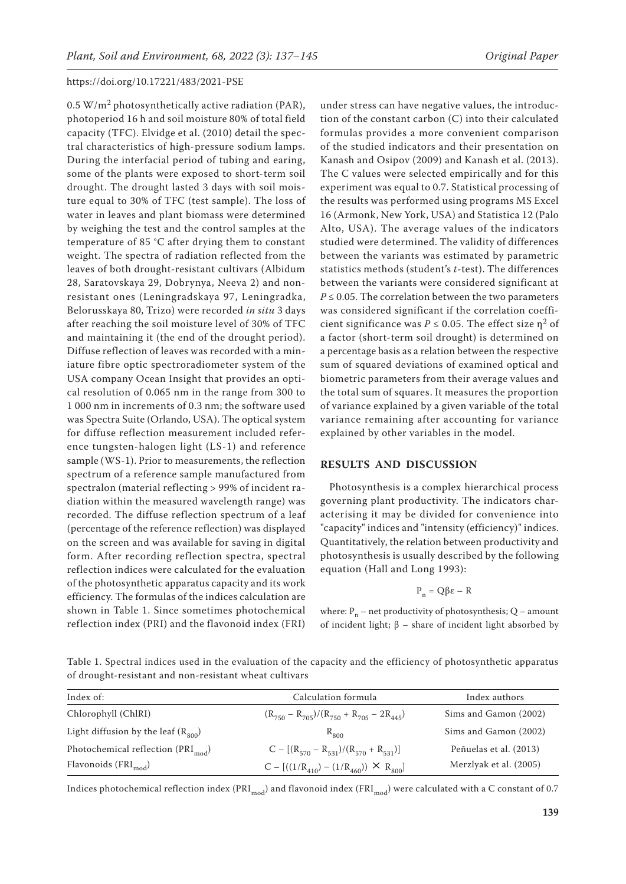$0.5 W/m<sup>2</sup>$  photosynthetically active radiation (PAR), photoperiod 16 h and soil moisture 80% of total field capacity (TFC). Elvidge et al. (2010) detail the spectral characteristics of high-pressure sodium lamps. During the interfacial period of tubing and earing, some of the plants were exposed to short-term soil drought. The drought lasted 3 days with soil moisture equal to 30% of TFC (test sample). The loss of water in leaves and plant biomass were determined by weighing the test and the control samples at the temperature of 85 °C after drying them to constant weight. The spectra of radiation reflected from the leaves of both drought-resistant cultivars (Albidum 28, Saratovskaya 29, Dobrynya, Neeva 2) and nonresistant ones (Leningradskaya 97, Leningradka, Belorusskaya 80, Trizo) were recorded *in situ* 3 days after reaching the soil moisture level of 30% of TFC and maintaining it (the end of the drought period). Diffuse reflection of leaves was recorded with a miniature fibre optic spectroradiometer system of the USA company Ocean Insight that provides an optical resolution of 0.065 nm in the range from 300 to 1 000 nm in increments of 0.3 nm; the software used was Spectra Suite (Orlando, USA). The optical system for diffuse reflection measurement included reference tungsten-halogen light (LS-1) and reference sample (WS-1). Prior to measurements, the reflection spectrum of a reference sample manufactured from spectralon (material reflecting > 99% of incident radiation within the measured wavelength range) was recorded. The diffuse reflection spectrum of a leaf (percentage of the reference reflection) was displayed on the screen and was available for saving in digital form. After recording reflection spectra, spectral reflection indices were calculated for the evaluation of the photosynthetic apparatus capacity and its work efficiency. The formulas of the indices calculation are shown in Table 1. Since sometimes photochemical reflection index (PRI) and the flavonoid index (FRI)

under stress can have negative values, the introduction of the constant carbon (C) into their calculated formulas provides a more convenient comparison of the studied indicators and their presentation on Kanash and Osipov (2009) and Kanash et al. (2013). The С values were selected empirically and for this experiment was equal to 0.7. Statistical processing of the results was performed using programs MS Excel 16 (Armonk, New York, USA) and Statistica 12 (Palo Alto, USA). The average values of the indicators studied were determined. The validity of differences between the variants was estimated by parametric statistics methods (student's *t*-test). The differences between the variants were considered significant at  $P \leq 0.05$ . The correlation between the two parameters was considered significant if the correlation coefficient significance was  $P \le 0.05$ . The effect size  $\eta^2$  of a factor (short-term soil drought) is determined on a percentage basis as a relation between the respective sum of squared deviations of examined optical and biometric parameters from their average values and the total sum of squares. It measures the proportion of variance explained by a given variable of the total variance remaining after accounting for variance explained by other variables in the model.

# **RESULTS AND DISCUSSION**

Photosynthesis is a complex hierarchical process governing plant productivity. The indicators characterising it may be divided for convenience into "capacity" indices and "intensity (efficiency)" indices. Quantitatively, the relation between productivity and photosynthesis is usually described by the following equation (Hall and Long 1993):

$$
P_n = Q\beta \varepsilon - R
$$

where:  $P_n$  – net productivity of photosynthesis; Q – amount of incident light; β *–* share of incident light absorbed by

Table 1. Spectral indices used in the evaluation of the capacity and the efficiency of photosynthetic apparatus of drought-resistant and non-resistant wheat cultivars

| Index of:                                            | Calculation formula                                  | Index authors          |  |  |
|------------------------------------------------------|------------------------------------------------------|------------------------|--|--|
| Chlorophyll (ChlRI)                                  | $(R_{750} - R_{705})/(R_{750} + R_{705} - 2R_{445})$ | Sims and Gamon (2002)  |  |  |
| Light diffusion by the leaf $(R_{\rm s00})$          | $R_{800}$                                            | Sims and Gamon (2002)  |  |  |
| Photochemical reflection $(\text{PRI}_{\text{mod}})$ | $C - [(R570 - R531)/(R570 + R531)]$                  | Peñuelas et al. (2013) |  |  |
| Flavonoids $\rm (FRI_{mod})$                         | $C - [((1/R_{410}) - (1/R_{460})) \times R_{800}]$   | Merzlyak et al. (2005) |  |  |

Indices photochemical reflection index (PRI<sub>mod</sub>) and flavonoid index (FRI<sub>mod</sub>) were calculated with a C constant of 0.7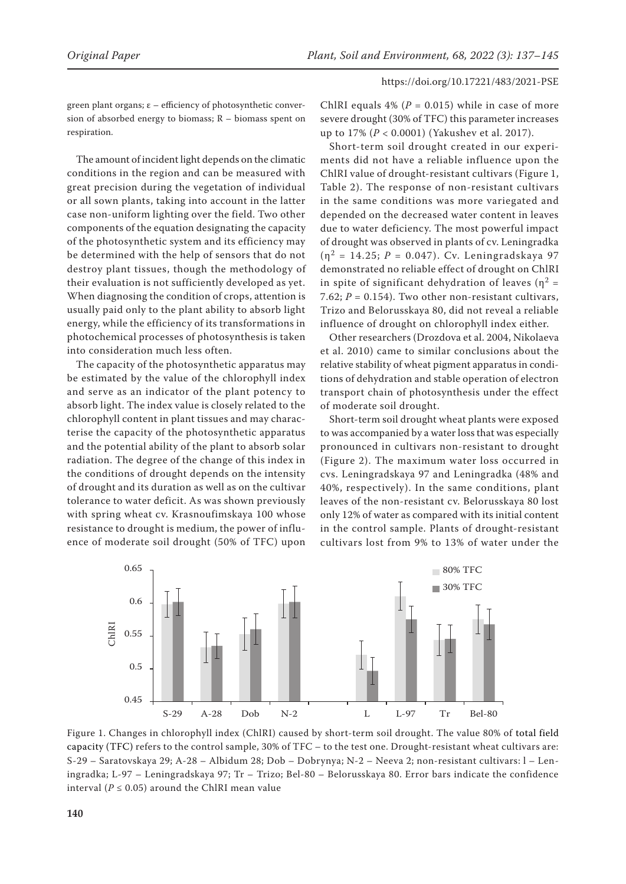green plant organs;  $\varepsilon$  – efficiency of photosynthetic conversion of absorbed energy to biomass; R – biomass spent on respiration.

The amount of incident light depends on the climatic conditions in the region and can be measured with great precision during the vegetation of individual or all sown plants, taking into account in the latter case non-uniform lighting over the field. Two other components of the equation designating the capacity of the photosynthetic system and its efficiency may be determined with the help of sensors that do not destroy plant tissues, though the methodology of their evaluation is not sufficiently developed as yet. When diagnosing the condition of crops, attention is usually paid only to the plant ability to absorb light energy, while the efficiency of its transformations in photochemical processes of photosynthesis is taken into consideration much less often.

The capacity of the photosynthetic apparatus may be estimated by the value of the chlorophyll index and serve as an indicator of the plant potency to absorb light. The index value is closely related to the chlorophyll content in plant tissues and may characterise the capacity of the photosynthetic apparatus and the potential ability of the plant to absorb solar radiation. The degree of the change of this index in the conditions of drought depends on the intensity of drought and its duration as well as on the cultivar tolerance to water deficit. As was shown previously with spring wheat cv. Krasnoufimskaya 100 whose resistance to drought is medium, the power of influence of moderate soil drought (50% of TFC) upon

ChlRI equals  $4\%$  ( $P = 0.015$ ) while in case of more severe drought (30% of TFC) this parameter increases up to 17% (*P* < 0.0001) (Yakushev et al. 2017).

Short-term soil drought created in our experiments did not have a reliable influence upon the ChlRI value of drought-resistant cultivars (Figure 1, Table 2). The response of non-resistant cultivars in the same conditions was more variegated and depended on the decreased water content in leaves due to water deficiency. The most powerful impact of drought was observed in plants of cv. Leningradka  $(\eta^2 = 14.25; P = 0.047)$ . Cv. Leningradskaya 97 demonstrated no reliable effect of drought on ChlRI in spite of significant dehydration of leaves ( $\eta^2$  = 7.62;  $P = 0.154$ ). Two other non-resistant cultivars, Trizo and Belorusskaya 80, did not reveal a reliable influence of drought on chlorophyll index either.

Other researchers (Drozdova et al. 2004, Nikolaeva et al. 2010) came to similar conclusions about the relative stability of wheat pigment apparatus in conditions of dehydration and stable operation of electron transport chain of photosynthesis under the effect of moderate soil drought.

Short-term soil drought wheat plants were exposed to was accompanied by a water loss that was especially pronounced in cultivars non-resistant to drought (Figure 2). The maximum water loss occurred in cvs. Leningradskaya 97 and Leningradka (48% and 40%, respectively). In the same conditions, plant leaves of the non-resistant cv. Belorusskaya 80 lost only 12% of water as compared with its initial content in the control sample. Plants of drought-resistant cultivars lost from 9% to 13% of water under the



Figure 1. Changes in chlorophyll index (ChlRI) caused by short-term soil drought. The value 80% of total field capacity (TFC) refers to the control sample, 30% of TFC – to the test one. Drought-resistant wheat cultivars are: S-29 – Saratovskaya 29; A-28 – Albidum 28; Dob – Dobrynya; N-2 – Neeva 2; non-resistant cultivars: l – Leningradka; L-97 – Leningradskaya 97; Tr – Trizo; Bel-80 – Belorusskaya 80. Error bars indicate the confidence interval ( $P \le 0.05$ ) around the ChlRI mean value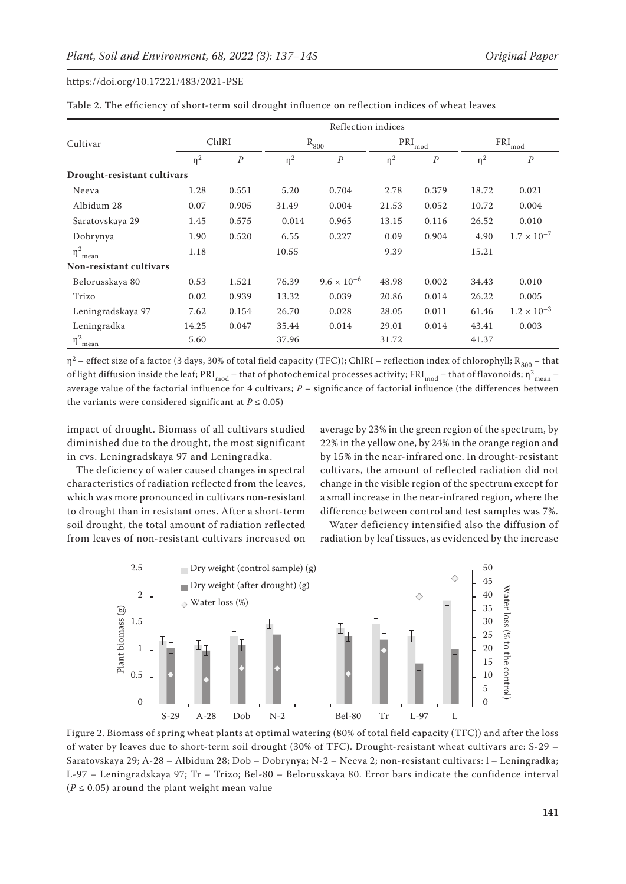|                             |          | Reflection indices |          |                      |          |                  |          |                      |  |  |
|-----------------------------|----------|--------------------|----------|----------------------|----------|------------------|----------|----------------------|--|--|
| Cultivar                    |          | ChlRI              |          | $R_{800}$            |          | $PRI_{mod}$      |          | $FRI_{mod}$          |  |  |
|                             | $\eta^2$ | $\cal P$           | $\eta^2$ | $\cal P$             | $\eta^2$ | $\boldsymbol{P}$ | $\eta^2$ | $\boldsymbol{P}$     |  |  |
| Drought-resistant cultivars |          |                    |          |                      |          |                  |          |                      |  |  |
| Neeva                       | 1.28     | 0.551              | 5.20     | 0.704                | 2.78     | 0.379            | 18.72    | 0.021                |  |  |
| Albidum 28                  | 0.07     | 0.905              | 31.49    | 0.004                | 21.53    | 0.052            | 10.72    | 0.004                |  |  |
| Saratovskaya 29             | 1.45     | 0.575              | 0.014    | 0.965                | 13.15    | 0.116            | 26.52    | 0.010                |  |  |
| Dobrynya                    | 1.90     | 0.520              | 6.55     | 0.227                | 0.09     | 0.904            | 4.90     | $1.7 \times 10^{-7}$ |  |  |
| $\eta_{\text{mean}}^2$      | 1.18     |                    | 10.55    |                      | 9.39     |                  | 15.21    |                      |  |  |
| Non-resistant cultivars     |          |                    |          |                      |          |                  |          |                      |  |  |
| Belorusskaya 80             | 0.53     | 1.521              | 76.39    | $9.6 \times 10^{-6}$ | 48.98    | 0.002            | 34.43    | 0.010                |  |  |
| Trizo                       | 0.02     | 0.939              | 13.32    | 0.039                | 20.86    | 0.014            | 26.22    | 0.005                |  |  |
| Leningradskaya 97           | 7.62     | 0.154              | 26.70    | 0.028                | 28.05    | 0.011            | 61.46    | $1.2 \times 10^{-3}$ |  |  |
| Leningradka                 | 14.25    | 0.047              | 35.44    | 0.014                | 29.01    | 0.014            | 43.41    | 0.003                |  |  |
| $\eta^2$ <sub>mean</sub>    | 5.60     |                    | 37.96    |                      | 31.72    |                  | 41.37    |                      |  |  |

Table 2. The efficiency of short-term soil drought influence on reflection indices of wheat leaves

η<sup>2</sup> – effect size of a factor (3 days, 30% of total field capacity (TFC)); ChlRI – reflection index of chlorophyll; R<sub>800</sub> – that of light diffusion inside the leaf; PRI<sub>mod</sub> – that of photochemical processes activity; FRI<sub>mod</sub> – that of flavonoids;  $\eta^2_{\rm mean}$  – average value of the factorial influence for 4 cultivars; *P* – significance of factorial influence (the differences between the variants were considered significant at  $P \le 0.05$ )

impact of drought. Biomass of all cultivars studied diminished due to the drought, the most significant in cvs. Leningradskaya 97 and Leningradka.

The deficiency of water caused changes in spectral characteristics of radiation reflected from the leaves, which was more pronounced in cultivars non-resistant to drought than in resistant ones. After a short-term soil drought, the total amount of radiation reflected from leaves of non-resistant cultivars increased on

average by 23% in the green region of the spectrum, by 22% in the yellow one, by 24% in the orange region and by 15% in the near-infrared one. In drought-resistant cultivars, the amount of reflected radiation did not change in the visible region of the spectrum except for a small increase in the near-infrared region, where the difference between control and test samples was 7%.

Water deficiency intensified also the diffusion of radiation by leaf tissues, as evidenced by the increase



Figure 2. Biomass of spring wheat plants at optimal watering (80% of total field capacity (TFC)) and after the loss of water by leaves due to short-term soil drought (30% of TFC). Drought-resistant wheat cultivars are: S-29 – Saratovskaya 29; A-28 – Albidum 28; Dob – Dobrynya; N-2 – Neeva 2; non-resistant cultivars: l – Leningradka; L-97 – Leningradskaya 97; Tr – Trizo; Bel-80 – Belorusskaya 80. Error bars indicate the confidence interval  $(P \le 0.05)$  around the plant weight mean value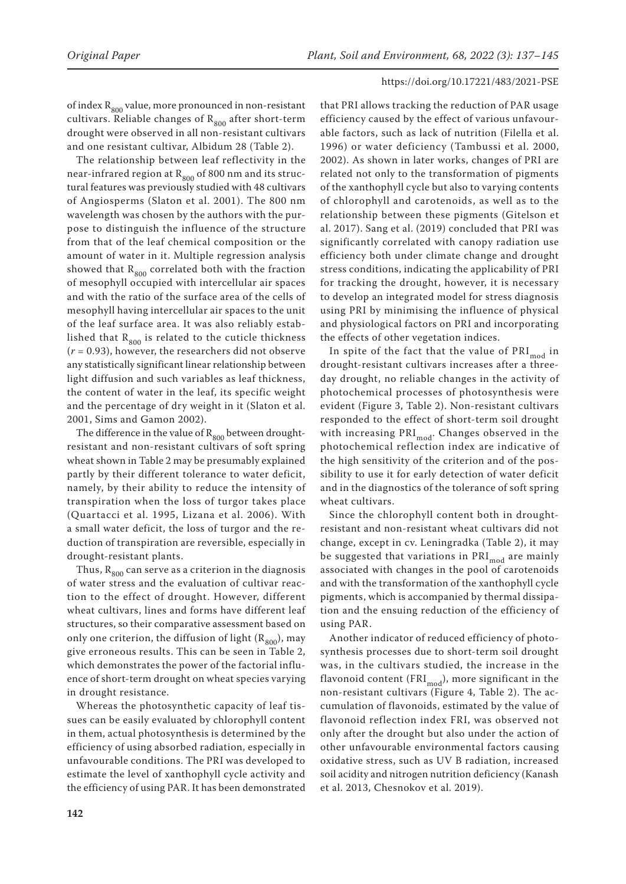of index  $R_{800}$  value, more pronounced in non-resistant cultivars. Reliable changes of  $R_{800}$  after short-term drought were observed in all non-resistant cultivars and one resistant cultivar, Albidum 28 (Table 2).

The relationship between leaf reflectivity in the near-infrared region at  $R_{800}$  of 800 nm and its structural features was previously studied with 48 cultivars of Angiosperms (Slaton et al. 2001). The 800 nm wavelength was chosen by the authors with the purpose to distinguish the influence of the structure from that of the leaf chemical composition or the amount of water in it. Multiple regression analysis showed that  $R_{800}$  correlated both with the fraction of mesophyll occupied with intercellular air spaces and with the ratio of the surface area of the cells of mesophyll having intercellular air spaces to the unit of the leaf surface area. It was also reliably established that  $R_{800}$  is related to the cuticle thickness (*r* = 0.93), however, the researchers did not observe any statistically significant linear relationship between light diffusion and such variables as leaf thickness, the content of water in the leaf, its specific weight and the percentage of dry weight in it (Slaton et al. 2001, Sims and Gamon 2002).

The difference in the value of  $R_{800}$  between droughtresistant and non-resistant cultivars of soft spring wheat shown in Table 2 may be presumably explained partly by their different tolerance to water deficit, namely, by their ability to reduce the intensity of transpiration when the loss of turgor takes place (Quartacci et al. 1995, Lizana et al. 2006). With a small water deficit, the loss of turgor and the reduction of transpiration are reversible, especially in drought-resistant plants.

Thus,  $R_{800}$  can serve as a criterion in the diagnosis of water stress and the evaluation of cultivar reaction to the effect of drought. However, different wheat cultivars, lines and forms have different leaf structures, so their comparative assessment based on only one criterion, the diffusion of light  $(R_{800})$ , may give erroneous results. This can be seen in Table 2, which demonstrates the power of the factorial influence of short-term drought on wheat species varying in drought resistance.

Whereas the photosynthetic capacity of leaf tissues can be easily evaluated by chlorophyll content in them, actual photosynthesis is determined by the efficiency of using absorbed radiation, especially in unfavourable conditions. The PRI was developed to estimate the level of xanthophyll cycle activity and the efficiency of using PAR. It has been demonstrated

that PRI allows tracking the reduction of PAR usage efficiency caused by the effect of various unfavourable factors, such as lack of nutrition (Filella et al. 1996) or water deficiency (Tambussi et al. 2000, 2002). As shown in later works, changes of PRI are related not only to the transformation of pigments of the xanthophyll cycle but also to varying contents of chlorophyll and carotenoids, as well as to the relationship between these pigments (Gitelson et al. 2017). Sang et al. (2019) concluded that PRI was significantly correlated with canopy radiation use efficiency both under climate change and drought stress conditions, indicating the applicability of PRI for tracking the drought, however, it is necessary to develop an integrated model for stress diagnosis using PRI by minimising the influence of physical and physiological factors on PRI and incorporating the effects of other vegetation indices.

In spite of the fact that the value of  $\text{PRI}_{\text{mod}}$  in drought-resistant cultivars increases after a threeday drought, no reliable changes in the activity of photochemical processes of photosynthesis were evident (Figure 3, Table 2). Non-resistant cultivars responded to the effect of short-term soil drought with increasing  $PRI_{mod}$ . Changes observed in the photochemical reflection index are indicative of the high sensitivity of the criterion and of the possibility to use it for early detection of water deficit and in the diagnostics of the tolerance of soft spring wheat cultivars.

Since the chlorophyll content both in droughtresistant and non-resistant wheat cultivars did not change, except in cv. Leningradka (Table 2), it may be suggested that variations in  $\text{PRI}_{\text{mod}}$  are mainly associated with changes in the pool of carotenoids and with the transformation of the xanthophyll cycle pigments, which is accompanied by thermal dissipation and the ensuing reduction of the efficiency of using PAR.

Another indicator of reduced efficiency of photosynthesis processes due to short-term soil drought was, in the cultivars studied, the increase in the flavonoid content (FRI $_{mod}$ ), more significant in the non-resistant cultivars (Figure 4, Table 2). The accumulation of flavonoids, estimated by the value of flavonoid reflection index FRI, was observed not only after the drought but also under the action of other unfavourable environmental factors causing oxidative stress, such as UV B radiation, increased soil acidity and nitrogen nutrition deficiency (Kanash et al. 2013, Chesnokov et al. 2019).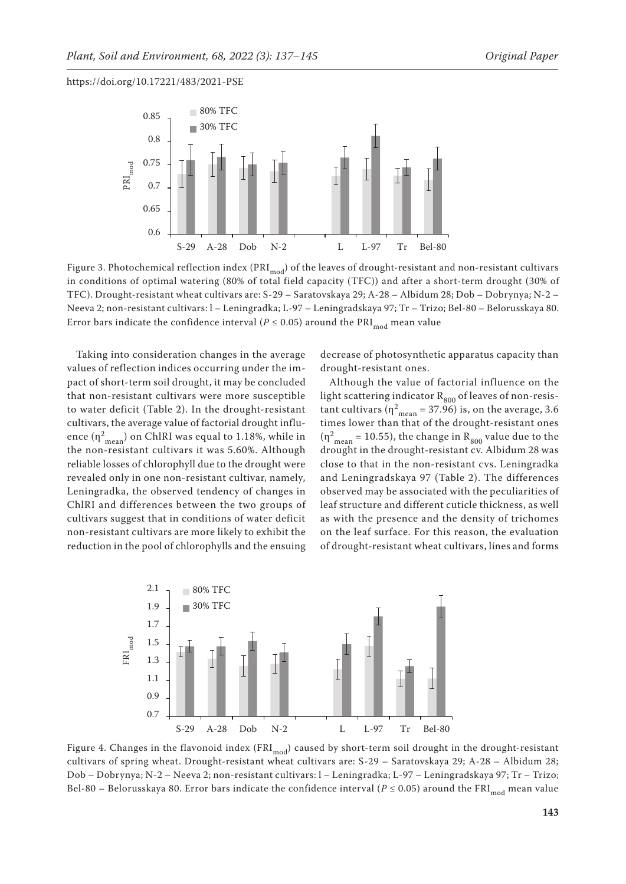

Figure 3. Photochemical reflection index (PRI<sub>mod</sub>) of the leaves of drought-resistant and non-resistant cultivars<br>. in conditions of optimal watering (80% of total field capacity (TFC)) and after a short-term drought (30% of TFC). Drought-resistant wheat cultivars are: S-29 – Saratovskaya 29; A-28 – Albidum 28; Dob – Dobrynya; N-2 – Neeva 2; non-resistant cultivars: l – Leningradka; L-97 – Leningradskaya 97; Tr – Trizo; Bel-80 – Belorusskaya 80. 1.7 Error bars indicate the confidence interval ( $P \leq 0.05$ ) around the  $\mathrm{PRI}_{\mathrm{mod}}$  mean value

Taking into consideration changes in the average values of reflection indices occurring under the impact of short-term soil drought, it may be concluded that non-resistant cultivars were more susceptible to water deficit (Table 2). In the drought-resistant cultivars, the average value of factorial drought influence  $(\eta_{\text{mean}}^2)$  on ChlRI was equal to 1.18%, while in the non-resistant cultivars it was  $5.60\%$ . Although reliable losses of chlorophyll due to the drought were revealed only in one non-resistant cultivar, namely, 0.75 Leningradka, the observed tendency of changes in ChlRI and differences between the two groups of cultivars suggest that in conditions of water deficit non-resistant cultivars are more likely to exhibit the reduction in the pool of chlorophylls and the ensuing decrease of photosynthetic apparatus capacity than drought-resistant ones.

Although the value of factorial influence on the light scattering indicator  $R_{800}$  of leaves of non-resis-2). In the drought-resistant tant cultivars ( $\eta_{\text{mean}}^2 = 37.96$ ) is, on the average, 3.6 times lower than that of the drought-resistant ones  $(\eta_{\text{mean}}^2 = 10.55)$ , the change in  $R_{800}$  value due to the drought in the drought-resistant cv. Albidum 28 was close to that in the non-resistant cvs. Leningradka and Leningradskaya 97 (Table 2). The differences observed may be associated with the peculiarities of leaf structure and different cuticle thickness, as well as with the presence and the density of trichomes on the leaf surface. For this reason, the evaluation of drought-resistant wheat cultivars, lines and forms



Bel-80 – Belorusskaya 80. Error bars indicate the confidence interval ( $P$  ≤ 0.05) around the FRI $_{\rm mod}$  mean value 1.9 Dob – Dobrynya; N-2 – Neeva 2; non-resistant cultivars: l – Leningradka; L-97 – Leningradskaya 97; Tr – Trizo; Figure 4. Changes in the flavonoid index (FRI $_{\rm mod}$ ) caused by short-term soil drought in the drought-resistant cultivars of spring wheat. Drought-resistant wheat cultivars are: S-29 – Saratovskaya 29; A-28 – Albidum 28;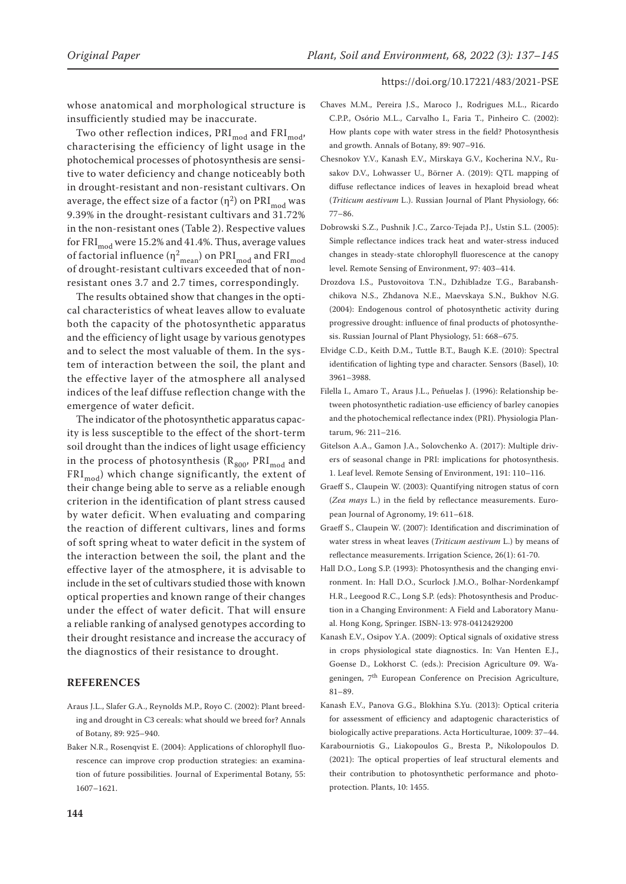whose anatomical and morphological structure is insufficiently studied may be inaccurate.

Two other reflection indices,  $PRI_{mod}$  and  $FRI_{mod}$ , characterising the efficiency of light usage in the photochemical processes of photosynthesis are sensitive to water deficiency and change noticeably both in drought-resistant and non-resistant cultivars. On average, the effect size of a factor  $(\eta^2)$  on PRI<sub>mod</sub> was 9.39% in the drought-resistant cultivars and 31.72% in the non-resistant ones (Table 2). Respective values for FRI<sub>mod</sub> were 15.2% and 41.4%. Thus, average values of factorial influence ( $η<sup>2</sup>_{mean}$ ) on PRI<sub>mod</sub> and FRI<sub>mod</sub> of drought-resistant cultivars exceeded that of nonresistant ones 3.7 and 2.7 times, correspondingly.

The results obtained show that changes in the optical characteristics of wheat leaves allow to evaluate both the capacity of the photosynthetic apparatus and the efficiency of light usage by various genotypes and to select the most valuable of them. In the system of interaction between the soil, the plant and the effective layer of the atmosphere all analysed indices of the leaf diffuse reflection change with the emergence of water deficit.

The indicator of the photosynthetic apparatus capacity is less susceptible to the effect of the short-term soil drought than the indices of light usage efficiency in the process of photosynthesis  $(R_{800}, PRI_{mod}$  and  $\text{FRI}_{\text{mod}}$ ) which change significantly, the extent of their change being able to serve as a reliable enough criterion in the identification of plant stress caused by water deficit. When evaluating and comparing the reaction of different cultivars, lines and forms of soft spring wheat to water deficit in the system of the interaction between the soil, the plant and the effective layer of the atmosphere, it is advisable to include in the set of cultivars studied those with known optical properties and known range of their changes under the effect of water deficit. That will ensure a reliable ranking of analysed genotypes according to their drought resistance and increase the accuracy of the diagnostics of their resistance to drought.

## **REFERENCES**

- Araus J.L., Slafer G.A., Reynolds M.P., Royo C. (2002): Plant breeding and drought in C3 cereals: what should we breed for? Annals of Botany, 89: 925–940.
- Baker N.R., Rosenqvist E. (2004): Applications of chlorophyll fluorescence can improve crop production strategies: an examination of future possibilities. Journal of Experimental Botany, 55: 1607–1621.
- Chaves M.M., Pereira J.S., Maroco J., Rodrigues M.L., Ricardo C.P.P., Osório M.L., Carvalho I., Faria T., Pinheiro C. (2002): How plants cope with water stress in the field? Photosynthesis and growth. Annals of Botany, 89: 907–916.
- Chesnokov Y.V., Kanash E.V., Mirskaya G.V., Kocherina N.V., Rusakov D.V., Lohwasser U., Börner A. (2019): QTL mapping of diffuse reflectance indices of leaves in hexaploid bread wheat (*Triticum aestivum* L.). Russian Journal of Plant Physiology, 66: 77–86.
- Dobrowski S.Z., Pushnik J.C., Zarco-Tejada P.J., Ustin S.L. (2005): Simple reflectance indices track heat and water-stress induced changes in steady-state chlorophyll fluorescence at the canopy level. Remote Sensing of Environment, 97: 403–414.
- Drozdova I.S., Pustovoitova T.N., Dzhibladze T.G., Barabanshchikova N.S., Zhdanova N.E., Maevskaya S.N., Bukhov N.G. (2004): Endogenous control of photosynthetic activity during progressive drought: influence of final products of photosynthesis. Russian Journal of Plant Physiology, 51: 668–675.
- Elvidge C.D., Keith D.M., Tuttle B.T., Baugh K.E. (2010): Spectral identification of lighting type and character. Sensors (Basel), 10: 3961–3988.
- Filella I., Amaro T., Araus J.L., Peñuelas J. (1996): Relationship between photosynthetic radiation-use efficiency of barley canopies and the photochemical reflectance index (PRI). Physiologia Plantarum, 96: 211–216.
- Gitelson A.A., Gamon J.A., Solovchenko A. (2017): Multiple drivers of seasonal change in PRI: implications for photosynthesis. 1. Leaf level. Remote Sensing of Environment, 191: 110–116.
- Graeff S., Claupein W. (2003): Quantifying nitrogen status of corn (*Zea mays* L.) in the field by reflectance measurements. European Journal of Agronomy, 19: 611–618.
- Graeff S., Claupein W. (2007): Identification and discrimination of water stress in wheat leaves (*Triticum aestivum* L.) by means of reflectance measurements. Irrigation Science, 26(1): 61-70.
- Hall D.O., Long S.P. (1993): Photosynthesis and the changing environment. In: Hall D.O., Scurlock J.M.O., Bolhar-Nordenkampf H.R., Leegood R.C., Long S.P. (eds): Photosynthesis and Production in a Changing Environment: A Field and Laboratory Manual. Hong Kong, Springer. ISBN-13: 978-0412429200
- Kanash E.V., Osipov Y.A. (2009): Optical signals of oxidative stress in crops physiological state diagnostics. In: Van Henten E.J., Goense D., Lokhorst C. (eds.): Precision Agriculture 09. Wageningen, 7th European Conference on Precision Agriculture, 81–89.
- Kanash E.V., Panova G.G., Blokhina S.Yu. (2013): Optical criteria for assessment of efficiency and adaptogenic characteristics of biologically active preparations. Acta Horticulturae, 1009: 37–44.
- Karabourniotis G., Liakopoulos G., Bresta P., Nikolopoulos D. (2021): The optical properties of leaf structural elements and their contribution to photosynthetic performance and photoprotection. Plants, 10: 1455.